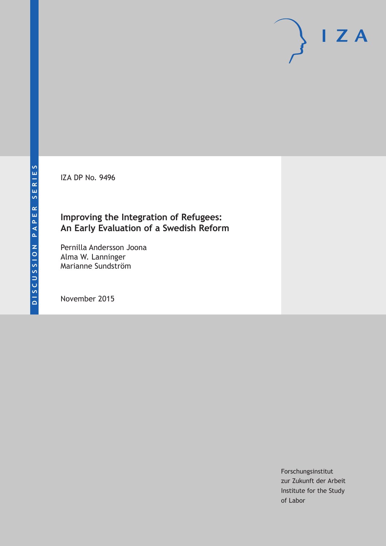IZA DP No. 9496

# **Improving the Integration of Refugees: An Early Evaluation of a Swedish Reform**

Pernilla Andersson Joona Alma W. Lanninger Marianne Sundström

November 2015

Forschungsinstitut zur Zukunft der Arbeit Institute for the Study of Labor

 $I Z A$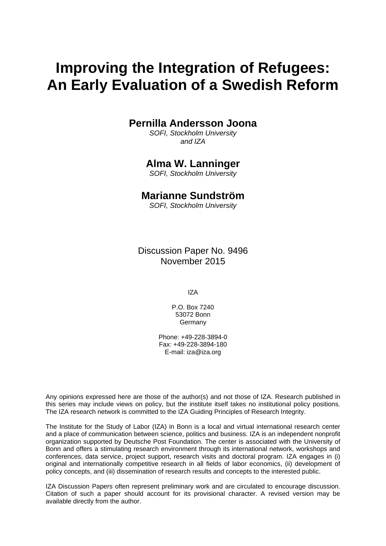# **Improving the Integration of Refugees: An Early Evaluation of a Swedish Reform**

## **Pernilla Andersson Joona**

*SOFI, Stockholm University and IZA* 

# **Alma W. Lanninger**

*SOFI, Stockholm University* 

### **Marianne Sundström**

*SOFI, Stockholm University*

Discussion Paper No. 9496 November 2015

IZA

P.O. Box 7240 53072 Bonn **Germany** 

Phone: +49-228-3894-0 Fax: +49-228-3894-180 E-mail: iza@iza.org

Any opinions expressed here are those of the author(s) and not those of IZA. Research published in this series may include views on policy, but the institute itself takes no institutional policy positions. The IZA research network is committed to the IZA Guiding Principles of Research Integrity.

The Institute for the Study of Labor (IZA) in Bonn is a local and virtual international research center and a place of communication between science, politics and business. IZA is an independent nonprofit organization supported by Deutsche Post Foundation. The center is associated with the University of Bonn and offers a stimulating research environment through its international network, workshops and conferences, data service, project support, research visits and doctoral program. IZA engages in (i) original and internationally competitive research in all fields of labor economics, (ii) development of policy concepts, and (iii) dissemination of research results and concepts to the interested public.

IZA Discussion Papers often represent preliminary work and are circulated to encourage discussion. Citation of such a paper should account for its provisional character. A revised version may be available directly from the author.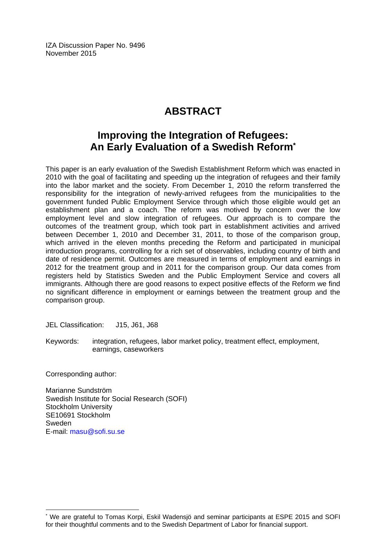IZA Discussion Paper No. 9496 November 2015

# **ABSTRACT**

# **Improving the Integration of Refugees: An Early Evaluation of a Swedish Reform\***

This paper is an early evaluation of the Swedish Establishment Reform which was enacted in 2010 with the goal of facilitating and speeding up the integration of refugees and their family into the labor market and the society. From December 1, 2010 the reform transferred the responsibility for the integration of newly-arrived refugees from the municipalities to the government funded Public Employment Service through which those eligible would get an establishment plan and a coach. The reform was motived by concern over the low employment level and slow integration of refugees. Our approach is to compare the outcomes of the treatment group, which took part in establishment activities and arrived between December 1, 2010 and December 31, 2011, to those of the comparison group, which arrived in the eleven months preceding the Reform and participated in municipal introduction programs, controlling for a rich set of observables, including country of birth and date of residence permit. Outcomes are measured in terms of employment and earnings in 2012 for the treatment group and in 2011 for the comparison group. Our data comes from registers held by Statistics Sweden and the Public Employment Service and covers all immigrants. Although there are good reasons to expect positive effects of the Reform we find no significant difference in employment or earnings between the treatment group and the comparison group.

JEL Classification: J15, J61, J68

Keywords: integration, refugees, labor market policy, treatment effect, employment, earnings, caseworkers

Corresponding author:

 $\overline{a}$ 

Marianne Sundström Swedish Institute for Social Research (SOFI) Stockholm University SE10691 Stockholm Sweden E-mail: masu@sofi.su.se

<sup>\*</sup> We are grateful to Tomas Korpi, Eskil Wadensjö and seminar participants at ESPE 2015 and SOFI for their thoughtful comments and to the Swedish Department of Labor for financial support.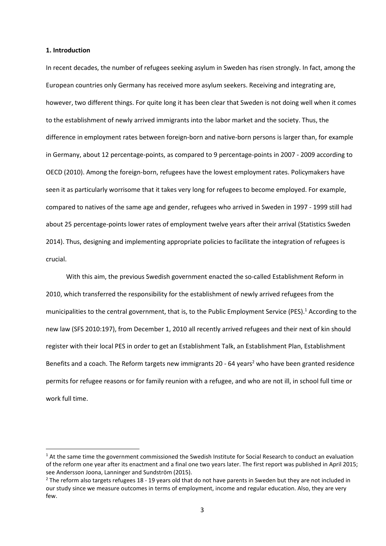#### **1. Introduction**

In recent decades, the number of refugees seeking asylum in Sweden has risen strongly. In fact, among the European countries only Germany has received more asylum seekers. Receiving and integrating are, however, two different things. For quite long it has been clear that Sweden is not doing well when it comes to the establishment of newly arrived immigrants into the labor market and the society. Thus, the difference in employment rates between foreign-born and native-born persons is larger than, for example in Germany, about 12 percentage-points, as compared to 9 percentage-points in 2007 - 2009 according to OECD (2010). Among the foreign-born, refugees have the lowest employment rates. Policymakers have seen it as particularly worrisome that it takes very long for refugees to become employed. For example, compared to natives of the same age and gender, refugees who arrived in Sweden in 1997 - 1999 still had about 25 percentage-points lower rates of employment twelve years after their arrival (Statistics Sweden 2014). Thus, designing and implementing appropriate policies to facilitate the integration of refugees is crucial.

With this aim, the previous Swedish government enacted the so-called Establishment Reform in 2010, which transferred the responsibility for the establishment of newly arrived refugees from the municipalities to the central government, that is, to the Public Employment Service (PES).<sup>1</sup> According to the new law (SFS 2010:197), from December 1, 2010 all recently arrived refugees and their next of kin should register with their local PES in order to get an Establishment Talk, an Establishment Plan, Establishment Benefits and a coach. The Reform targets new immigrants 20 - 64 years<sup>2</sup> who have been granted residence permits for refugee reasons or for family reunion with a refugee, and who are not ill, in school full time or work full time.

 $1$  At the same time the government commissioned the Swedish Institute for Social Research to conduct an evaluation of the reform one year after its enactment and a final one two years later. The first report was published in April 2015; see Andersson Joona, Lanninger and Sundström (2015).

 $2$  The reform also targets refugees 18 - 19 years old that do not have parents in Sweden but they are not included in our study since we measure outcomes in terms of employment, income and regular education. Also, they are very few.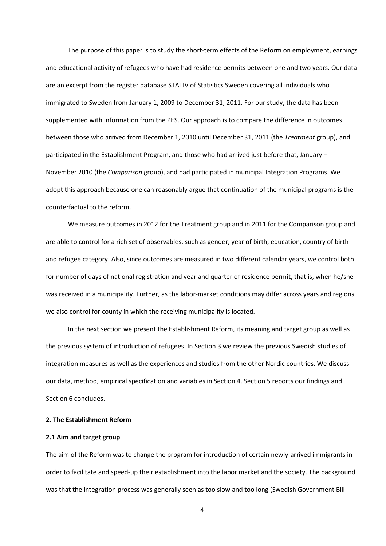The purpose of this paper is to study the short-term effects of the Reform on employment, earnings and educational activity of refugees who have had residence permits between one and two years. Our data are an excerpt from the register database STATIV of Statistics Sweden covering all individuals who immigrated to Sweden from January 1, 2009 to December 31, 2011. For our study, the data has been supplemented with information from the PES. Our approach is to compare the difference in outcomes between those who arrived from December 1, 2010 until December 31, 2011 (the *Treatment* group), and participated in the Establishment Program, and those who had arrived just before that, January – November 2010 (the *Comparison* group), and had participated in municipal Integration Programs. We adopt this approach because one can reasonably argue that continuation of the municipal programs is the counterfactual to the reform.

We measure outcomes in 2012 for the Treatment group and in 2011 for the Comparison group and are able to control for a rich set of observables, such as gender, year of birth, education, country of birth and refugee category. Also, since outcomes are measured in two different calendar years, we control both for number of days of national registration and year and quarter of residence permit, that is, when he/she was received in a municipality. Further, as the labor-market conditions may differ across years and regions, we also control for county in which the receiving municipality is located.

In the next section we present the Establishment Reform, its meaning and target group as well as the previous system of introduction of refugees. In Section 3 we review the previous Swedish studies of integration measures as well as the experiences and studies from the other Nordic countries. We discuss our data, method, empirical specification and variables in Section 4. Section 5 reports our findings and Section 6 concludes.

#### **2. The Establishment Reform**

#### **2.1 Aim and target group**

The aim of the Reform was to change the program for introduction of certain newly-arrived immigrants in order to facilitate and speed-up their establishment into the labor market and the society. The background was that the integration process was generally seen as too slow and too long (Swedish Government Bill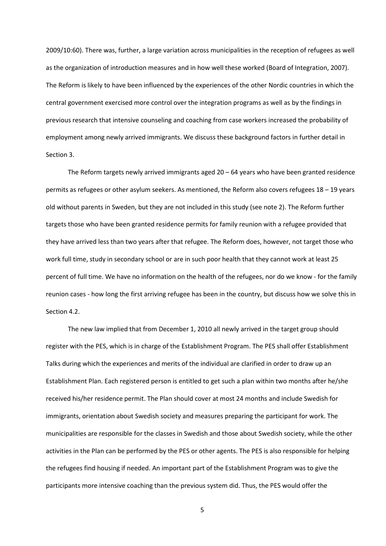2009/10:60). There was, further, a large variation across municipalities in the reception of refugees as well as the organization of introduction measures and in how well these worked (Board of Integration, 2007). The Reform is likely to have been influenced by the experiences of the other Nordic countries in which the central government exercised more control over the integration programs as well as by the findings in previous research that intensive counseling and coaching from case workers increased the probability of employment among newly arrived immigrants. We discuss these background factors in further detail in Section 3.

The Reform targets newly arrived immigrants aged 20 – 64 years who have been granted residence permits as refugees or other asylum seekers. As mentioned, the Reform also covers refugees 18 – 19 years old without parents in Sweden, but they are not included in this study (see note 2). The Reform further targets those who have been granted residence permits for family reunion with a refugee provided that they have arrived less than two years after that refugee. The Reform does, however, not target those who work full time, study in secondary school or are in such poor health that they cannot work at least 25 percent of full time. We have no information on the health of the refugees, nor do we know - for the family reunion cases - how long the first arriving refugee has been in the country, but discuss how we solve this in Section 4.2.

The new law implied that from December 1, 2010 all newly arrived in the target group should register with the PES, which is in charge of the Establishment Program. The PES shall offer Establishment Talks during which the experiences and merits of the individual are clarified in order to draw up an Establishment Plan. Each registered person is entitled to get such a plan within two months after he/she received his/her residence permit. The Plan should cover at most 24 months and include Swedish for immigrants, orientation about Swedish society and measures preparing the participant for work. The municipalities are responsible for the classes in Swedish and those about Swedish society, while the other activities in the Plan can be performed by the PES or other agents. The PES is also responsible for helping the refugees find housing if needed. An important part of the Establishment Program was to give the participants more intensive coaching than the previous system did. Thus, the PES would offer the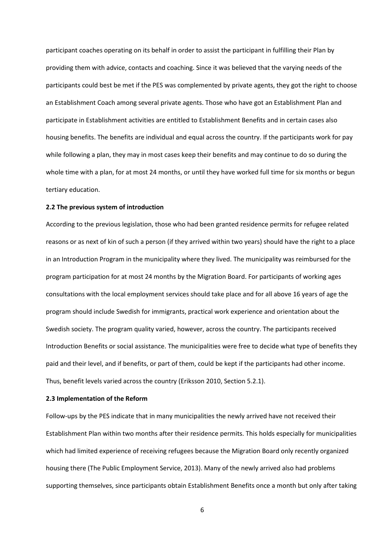participant coaches operating on its behalf in order to assist the participant in fulfilling their Plan by providing them with advice, contacts and coaching. Since it was believed that the varying needs of the participants could best be met if the PES was complemented by private agents, they got the right to choose an Establishment Coach among several private agents. Those who have got an Establishment Plan and participate in Establishment activities are entitled to Establishment Benefits and in certain cases also housing benefits. The benefits are individual and equal across the country. If the participants work for pay while following a plan, they may in most cases keep their benefits and may continue to do so during the whole time with a plan, for at most 24 months, or until they have worked full time for six months or begun tertiary education.

#### **2.2 The previous system of introduction**

According to the previous legislation, those who had been granted residence permits for refugee related reasons or as next of kin of such a person (if they arrived within two years) should have the right to a place in an Introduction Program in the municipality where they lived. The municipality was reimbursed for the program participation for at most 24 months by the Migration Board. For participants of working ages consultations with the local employment services should take place and for all above 16 years of age the program should include Swedish for immigrants, practical work experience and orientation about the Swedish society. The program quality varied, however, across the country. The participants received Introduction Benefits or social assistance. The municipalities were free to decide what type of benefits they paid and their level, and if benefits, or part of them, could be kept if the participants had other income. Thus, benefit levels varied across the country (Eriksson 2010, Section 5.2.1).

#### **2.3 Implementation of the Reform**

Follow-ups by the PES indicate that in many municipalities the newly arrived have not received their Establishment Plan within two months after their residence permits. This holds especially for municipalities which had limited experience of receiving refugees because the Migration Board only recently organized housing there (The Public Employment Service, 2013). Many of the newly arrived also had problems supporting themselves, since participants obtain Establishment Benefits once a month but only after taking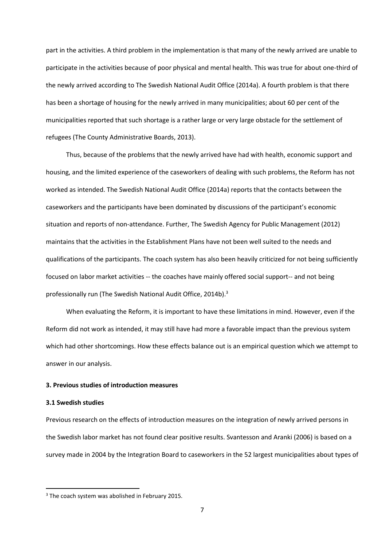part in the activities. A third problem in the implementation is that many of the newly arrived are unable to participate in the activities because of poor physical and mental health. This was true for about one-third of the newly arrived according to The Swedish National Audit Office (2014a). A fourth problem is that there has been a shortage of housing for the newly arrived in many municipalities; about 60 per cent of the municipalities reported that such shortage is a rather large or very large obstacle for the settlement of refugees (The County Administrative Boards, 2013).

Thus, because of the problems that the newly arrived have had with health, economic support and housing, and the limited experience of the caseworkers of dealing with such problems, the Reform has not worked as intended. The Swedish National Audit Office (2014a) reports that the contacts between the caseworkers and the participants have been dominated by discussions of the participant's economic situation and reports of non-attendance. Further, The Swedish Agency for Public Management (2012) maintains that the activities in the Establishment Plans have not been well suited to the needs and qualifications of the participants. The coach system has also been heavily criticized for not being sufficiently focused on labor market activities -- the coaches have mainly offered social support-- and not being professionally run (The Swedish National Audit Office, 2014b).<sup>3</sup>

When evaluating the Reform, it is important to have these limitations in mind. However, even if the Reform did not work as intended, it may still have had more a favorable impact than the previous system which had other shortcomings. How these effects balance out is an empirical question which we attempt to answer in our analysis.

#### **3. Previous studies of introduction measures**

#### **3.1 Swedish studies**

Previous research on the effects of introduction measures on the integration of newly arrived persons in the Swedish labor market has not found clear positive results. Svantesson and Aranki (2006) is based on a survey made in 2004 by the Integration Board to caseworkers in the 52 largest municipalities about types of

<sup>&</sup>lt;sup>3</sup> The coach system was abolished in February 2015.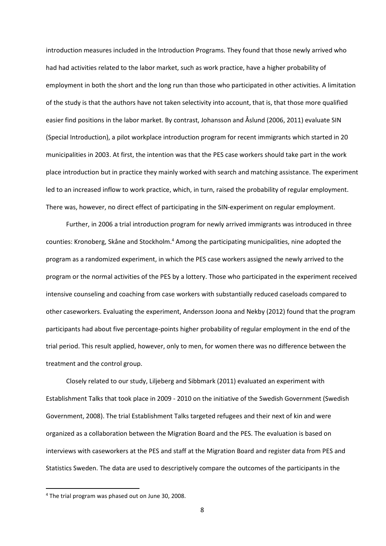introduction measures included in the Introduction Programs. They found that those newly arrived who had had activities related to the labor market, such as work practice, have a higher probability of employment in both the short and the long run than those who participated in other activities. A limitation of the study is that the authors have not taken selectivity into account, that is, that those more qualified easier find positions in the labor market. By contrast, Johansson and Åslund (2006, 2011) evaluate SIN (Special Introduction), a pilot workplace introduction program for recent immigrants which started in 20 municipalities in 2003. At first, the intention was that the PES case workers should take part in the work place introduction but in practice they mainly worked with search and matching assistance. The experiment led to an increased inflow to work practice, which, in turn, raised the probability of regular employment. There was, however, no direct effect of participating in the SIN-experiment on regular employment.

Further, in 2006 a trial introduction program for newly arrived immigrants was introduced in three counties: Kronoberg, Skåne and Stockholm.<sup>4</sup> Among the participating municipalities, nine adopted the program as a randomized experiment, in which the PES case workers assigned the newly arrived to the program or the normal activities of the PES by a lottery. Those who participated in the experiment received intensive counseling and coaching from case workers with substantially reduced caseloads compared to other caseworkers. Evaluating the experiment, Andersson Joona and Nekby (2012) found that the program participants had about five percentage-points higher probability of regular employment in the end of the trial period. This result applied, however, only to men, for women there was no difference between the treatment and the control group.

Closely related to our study, Liljeberg and Sibbmark (2011) evaluated an experiment with Establishment Talks that took place in 2009 - 2010 on the initiative of the Swedish Government (Swedish Government, 2008). The trial Establishment Talks targeted refugees and their next of kin and were organized as a collaboration between the Migration Board and the PES. The evaluation is based on interviews with caseworkers at the PES and staff at the Migration Board and register data from PES and Statistics Sweden. The data are used to descriptively compare the outcomes of the participants in the

<sup>&</sup>lt;sup>4</sup> The trial program was phased out on June 30, 2008.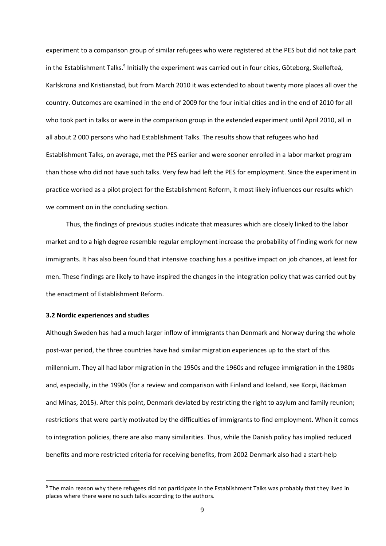experiment to a comparison group of similar refugees who were registered at the PES but did not take part in the Establishment Talks.<sup>5</sup> Initially the experiment was carried out in four cities, Göteborg, Skellefteå, Karlskrona and Kristianstad, but from March 2010 it was extended to about twenty more places all over the country. Outcomes are examined in the end of 2009 for the four initial cities and in the end of 2010 for all who took part in talks or were in the comparison group in the extended experiment until April 2010, all in all about 2 000 persons who had Establishment Talks. The results show that refugees who had Establishment Talks, on average, met the PES earlier and were sooner enrolled in a labor market program than those who did not have such talks. Very few had left the PES for employment. Since the experiment in practice worked as a pilot project for the Establishment Reform, it most likely influences our results which we comment on in the concluding section.

Thus, the findings of previous studies indicate that measures which are closely linked to the labor market and to a high degree resemble regular employment increase the probability of finding work for new immigrants. It has also been found that intensive coaching has a positive impact on job chances, at least for men. These findings are likely to have inspired the changes in the integration policy that was carried out by the enactment of Establishment Reform.

#### **3.2 Nordic experiences and studies**

 $\overline{\phantom{a}}$ 

Although Sweden has had a much larger inflow of immigrants than Denmark and Norway during the whole post-war period, the three countries have had similar migration experiences up to the start of this millennium. They all had labor migration in the 1950s and the 1960s and refugee immigration in the 1980s and, especially, in the 1990s (for a review and comparison with Finland and Iceland, see Korpi, Bäckman and Minas, 2015). After this point, Denmark deviated by restricting the right to asylum and family reunion; restrictions that were partly motivated by the difficulties of immigrants to find employment. When it comes to integration policies, there are also many similarities. Thus, while the Danish policy has implied reduced benefits and more restricted criteria for receiving benefits, from 2002 Denmark also had a start-help

<sup>&</sup>lt;sup>5</sup> The main reason why these refugees did not participate in the Establishment Talks was probably that they lived in places where there were no such talks according to the authors.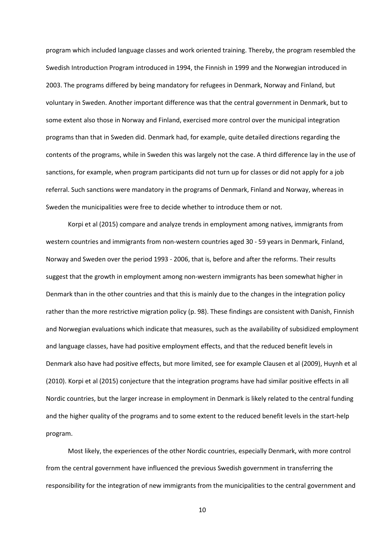program which included language classes and work oriented training. Thereby, the program resembled the Swedish Introduction Program introduced in 1994, the Finnish in 1999 and the Norwegian introduced in 2003. The programs differed by being mandatory for refugees in Denmark, Norway and Finland, but voluntary in Sweden. Another important difference was that the central government in Denmark, but to some extent also those in Norway and Finland, exercised more control over the municipal integration programs than that in Sweden did. Denmark had, for example, quite detailed directions regarding the contents of the programs, while in Sweden this was largely not the case. A third difference lay in the use of sanctions, for example, when program participants did not turn up for classes or did not apply for a job referral. Such sanctions were mandatory in the programs of Denmark, Finland and Norway, whereas in Sweden the municipalities were free to decide whether to introduce them or not.

Korpi et al (2015) compare and analyze trends in employment among natives, immigrants from western countries and immigrants from non-western countries aged 30 - 59 years in Denmark, Finland, Norway and Sweden over the period 1993 - 2006, that is, before and after the reforms. Their results suggest that the growth in employment among non-western immigrants has been somewhat higher in Denmark than in the other countries and that this is mainly due to the changes in the integration policy rather than the more restrictive migration policy (p. 98). These findings are consistent with Danish, Finnish and Norwegian evaluations which indicate that measures, such as the availability of subsidized employment and language classes, have had positive employment effects, and that the reduced benefit levels in Denmark also have had positive effects, but more limited, see for example Clausen et al (2009), Huynh et al (2010). Korpi et al (2015) conjecture that the integration programs have had similar positive effects in all Nordic countries, but the larger increase in employment in Denmark is likely related to the central funding and the higher quality of the programs and to some extent to the reduced benefit levels in the start-help program.

Most likely, the experiences of the other Nordic countries, especially Denmark, with more control from the central government have influenced the previous Swedish government in transferring the responsibility for the integration of new immigrants from the municipalities to the central government and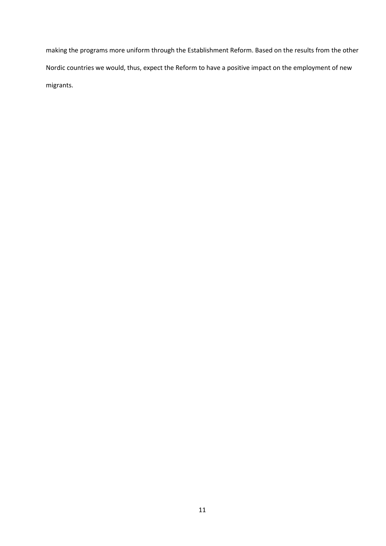making the programs more uniform through the Establishment Reform. Based on the results from the other Nordic countries we would, thus, expect the Reform to have a positive impact on the employment of new migrants.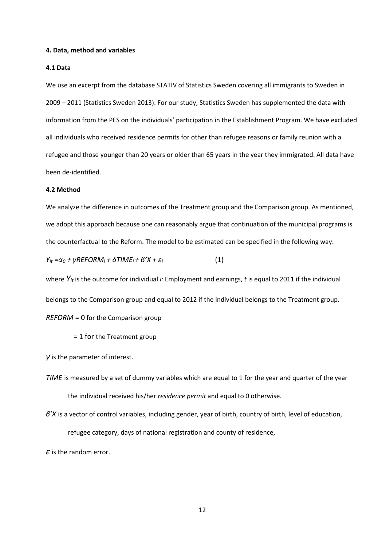#### **4. Data, method and variables**

#### **4.1 Data**

We use an excerpt from the database STATIV of Statistics Sweden covering all immigrants to Sweden in 2009 – 2011 (Statistics Sweden 2013). For our study, Statistics Sweden has supplemented the data with information from the PES on the individuals' participation in the Establishment Program. We have excluded all individuals who received residence permits for other than refugee reasons or family reunion with a refugee and those younger than 20 years or older than 65 years in the year they immigrated. All data have been de-identified.

#### **4.2 Method**

We analyze the difference in outcomes of the Treatment group and the Comparison group. As mentioned, we adopt this approach because one can reasonably argue that continuation of the municipal programs is the counterfactual to the Reform. The model to be estimated can be specified in the following way:

*Y<sub>it</sub>* =α<sub>0</sub> + γREFORM<sub>*i*</sub> + δTIME<sub>*i*</sub> + β'X + ε<sub>*i*</sub> (1)

where *Yit* is the outcome for individual *i:* Employment and earnings, *t* is equal to 2011 if the individual belongs to the Comparison group and equal to 2012 if the individual belongs to the Treatment group. *REFORM* = 0 for the Comparison group

= 1 for the Treatment group

*γ* is the parameter of interest.

*TIME* is measured by a set of dummy variables which are equal to 1 for the year and quarter of the year the individual received his/her *residence permit* and equal to 0 otherwise.

*β'X* is a vector of control variables, including gender, year of birth, country of birth, level of education,

refugee category, days of national registration and county of residence,

*ε* is the random error.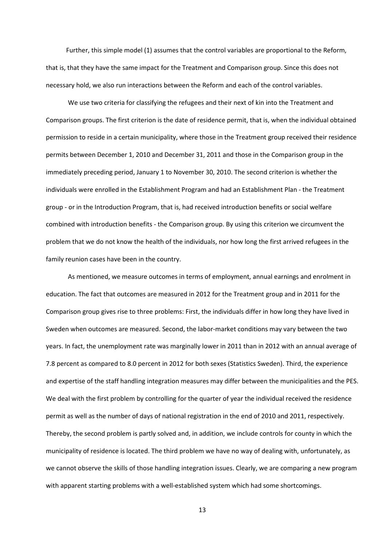Further, this simple model (1) assumes that the control variables are proportional to the Reform, that is, that they have the same impact for the Treatment and Comparison group. Since this does not necessary hold, we also run interactions between the Reform and each of the control variables.

We use two criteria for classifying the refugees and their next of kin into the Treatment and Comparison groups. The first criterion is the date of residence permit, that is, when the individual obtained permission to reside in a certain municipality, where those in the Treatment group received their residence permits between December 1, 2010 and December 31, 2011 and those in the Comparison group in the immediately preceding period, January 1 to November 30, 2010. The second criterion is whether the individuals were enrolled in the Establishment Program and had an Establishment Plan - the Treatment group - or in the Introduction Program, that is, had received introduction benefits or social welfare combined with introduction benefits - the Comparison group. By using this criterion we circumvent the problem that we do not know the health of the individuals, nor how long the first arrived refugees in the family reunion cases have been in the country.

As mentioned, we measure outcomes in terms of employment, annual earnings and enrolment in education. The fact that outcomes are measured in 2012 for the Treatment group and in 2011 for the Comparison group gives rise to three problems: First, the individuals differ in how long they have lived in Sweden when outcomes are measured. Second, the labor-market conditions may vary between the two years. In fact, the unemployment rate was marginally lower in 2011 than in 2012 with an annual average of 7.8 percent as compared to 8.0 percent in 2012 for both sexes (Statistics Sweden). Third, the experience and expertise of the staff handling integration measures may differ between the municipalities and the PES. We deal with the first problem by controlling for the quarter of year the individual received the residence permit as well as the number of days of national registration in the end of 2010 and 2011, respectively. Thereby, the second problem is partly solved and, in addition, we include controls for county in which the municipality of residence is located. The third problem we have no way of dealing with, unfortunately, as we cannot observe the skills of those handling integration issues. Clearly, we are comparing a new program with apparent starting problems with a well-established system which had some shortcomings.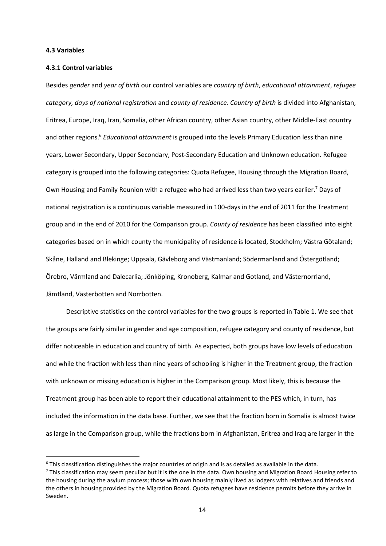#### **4.3 Variables**

l

#### **4.3.1 Control variables**

Besides *gender* and *year of birth* our control variables are *country of birth*, *educational attainment*, *refugee category, days of national registration* and *county of residence. Country of birth* is divided into Afghanistan, Eritrea, Europe, Iraq, Iran, Somalia, other African country, other Asian country, other Middle-East country and other regions.<sup>6</sup> *Educational attainment* is grouped into the levels Primary Education less than nine years, Lower Secondary, Upper Secondary, Post-Secondary Education and Unknown education. Refugee category is grouped into the following categories: Quota Refugee, Housing through the Migration Board, Own Housing and Family Reunion with a refugee who had arrived less than two years earlier.<sup>7</sup> Days of national registration is a continuous variable measured in 100-days in the end of 2011 for the Treatment group and in the end of 2010 for the Comparison group. *County of residence* has been classified into eight categories based on in which county the municipality of residence is located, Stockholm; Västra Götaland; Skåne, Halland and Blekinge; Uppsala, Gävleborg and Västmanland; Södermanland and Östergötland; Örebro, Värmland and Dalecarlia; Jönköping, Kronoberg, Kalmar and Gotland, and Västernorrland, Jämtland, Västerbotten and Norrbotten.

Descriptive statistics on the control variables for the two groups is reported in Table 1. We see that the groups are fairly similar in gender and age composition, refugee category and county of residence, but differ noticeable in education and country of birth. As expected, both groups have low levels of education and while the fraction with less than nine years of schooling is higher in the Treatment group, the fraction with unknown or missing education is higher in the Comparison group. Most likely, this is because the Treatment group has been able to report their educational attainment to the PES which, in turn, has included the information in the data base. Further, we see that the fraction born in Somalia is almost twice as large in the Comparison group, while the fractions born in Afghanistan, Eritrea and Iraq are larger in the

 $6$  This classification distinguishes the major countries of origin and is as detailed as available in the data.

<sup>&</sup>lt;sup>7</sup> This classification may seem peculiar but it is the one in the data. Own housing and Migration Board Housing refer to the housing during the asylum process; those with own housing mainly lived as lodgers with relatives and friends and the others in housing provided by the Migration Board. Quota refugees have residence permits before they arrive in Sweden.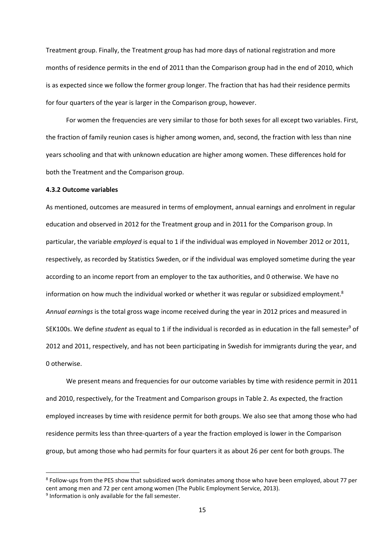Treatment group. Finally, the Treatment group has had more days of national registration and more months of residence permits in the end of 2011 than the Comparison group had in the end of 2010, which is as expected since we follow the former group longer. The fraction that has had their residence permits for four quarters of the year is larger in the Comparison group, however.

For women the frequencies are very similar to those for both sexes for all except two variables. First, the fraction of family reunion cases is higher among women, and, second, the fraction with less than nine years schooling and that with unknown education are higher among women. These differences hold for both the Treatment and the Comparison group.

#### **4.3.2 Outcome variables**

As mentioned, outcomes are measured in terms of employment, annual earnings and enrolment in regular education and observed in 2012 for the Treatment group and in 2011 for the Comparison group. In particular, the variable *employed* is equal to 1 if the individual was employed in November 2012 or 2011, respectively, as recorded by Statistics Sweden, or if the individual was employed sometime during the year according to an income report from an employer to the tax authorities, and 0 otherwise. We have no information on how much the individual worked or whether it was regular or subsidized employment.<sup>8</sup> *Annual earnings* is the total gross wage income received during the year in 2012 prices and measured in SEK100s. We define *student* as equal to 1 if the individual is recorded as in education in the fall semester<sup>9</sup> of 2012 and 2011, respectively, and has not been participating in Swedish for immigrants during the year, and 0 otherwise.

We present means and frequencies for our outcome variables by time with residence permit in 2011 and 2010, respectively, for the Treatment and Comparison groups in Table 2. As expected, the fraction employed increases by time with residence permit for both groups. We also see that among those who had residence permits less than three-quarters of a year the fraction employed is lower in the Comparison group, but among those who had permits for four quarters it as about 26 per cent for both groups. The

l

<sup>&</sup>lt;sup>8</sup> Follow-ups from the PES show that subsidized work dominates among those who have been employed, about 77 per cent among men and 72 per cent among women (The Public Employment Service, 2013).

<sup>&</sup>lt;sup>9</sup> Information is only available for the fall semester.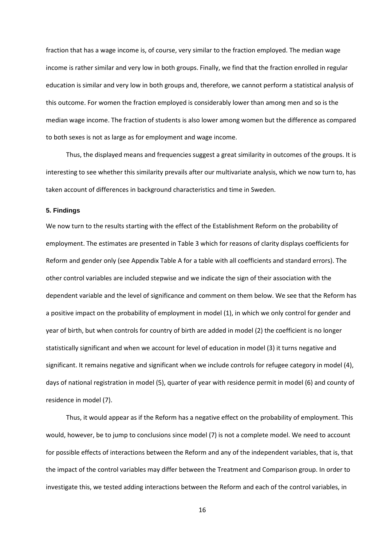fraction that has a wage income is, of course, very similar to the fraction employed. The median wage income is rather similar and very low in both groups. Finally, we find that the fraction enrolled in regular education is similar and very low in both groups and, therefore, we cannot perform a statistical analysis of this outcome. For women the fraction employed is considerably lower than among men and so is the median wage income. The fraction of students is also lower among women but the difference as compared to both sexes is not as large as for employment and wage income.

Thus, the displayed means and frequencies suggest a great similarity in outcomes of the groups. It is interesting to see whether this similarity prevails after our multivariate analysis, which we now turn to, has taken account of differences in background characteristics and time in Sweden.

#### **5. Findings**

We now turn to the results starting with the effect of the Establishment Reform on the probability of employment. The estimates are presented in Table 3 which for reasons of clarity displays coefficients for Reform and gender only (see Appendix Table A for a table with all coefficients and standard errors). The other control variables are included stepwise and we indicate the sign of their association with the dependent variable and the level of significance and comment on them below. We see that the Reform has a positive impact on the probability of employment in model (1), in which we only control for gender and year of birth, but when controls for country of birth are added in model (2) the coefficient is no longer statistically significant and when we account for level of education in model (3) it turns negative and significant. It remains negative and significant when we include controls for refugee category in model (4), days of national registration in model (5), quarter of year with residence permit in model (6) and county of residence in model (7).

Thus, it would appear as if the Reform has a negative effect on the probability of employment. This would, however, be to jump to conclusions since model (7) is not a complete model. We need to account for possible effects of interactions between the Reform and any of the independent variables, that is, that the impact of the control variables may differ between the Treatment and Comparison group. In order to investigate this, we tested adding interactions between the Reform and each of the control variables, in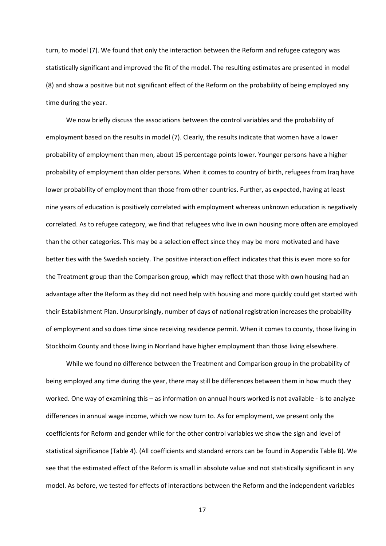turn, to model (7). We found that only the interaction between the Reform and refugee category was statistically significant and improved the fit of the model. The resulting estimates are presented in model (8) and show a positive but not significant effect of the Reform on the probability of being employed any time during the year.

We now briefly discuss the associations between the control variables and the probability of employment based on the results in model (7). Clearly, the results indicate that women have a lower probability of employment than men, about 15 percentage points lower. Younger persons have a higher probability of employment than older persons. When it comes to country of birth, refugees from Iraq have lower probability of employment than those from other countries. Further, as expected, having at least nine years of education is positively correlated with employment whereas unknown education is negatively correlated. As to refugee category, we find that refugees who live in own housing more often are employed than the other categories. This may be a selection effect since they may be more motivated and have better ties with the Swedish society. The positive interaction effect indicates that this is even more so for the Treatment group than the Comparison group, which may reflect that those with own housing had an advantage after the Reform as they did not need help with housing and more quickly could get started with their Establishment Plan. Unsurprisingly, number of days of national registration increases the probability of employment and so does time since receiving residence permit. When it comes to county, those living in Stockholm County and those living in Norrland have higher employment than those living elsewhere.

While we found no difference between the Treatment and Comparison group in the probability of being employed any time during the year, there may still be differences between them in how much they worked. One way of examining this – as information on annual hours worked is not available - is to analyze differences in annual wage income, which we now turn to. As for employment, we present only the coefficients for Reform and gender while for the other control variables we show the sign and level of statistical significance (Table 4). (All coefficients and standard errors can be found in Appendix Table B). We see that the estimated effect of the Reform is small in absolute value and not statistically significant in any model. As before, we tested for effects of interactions between the Reform and the independent variables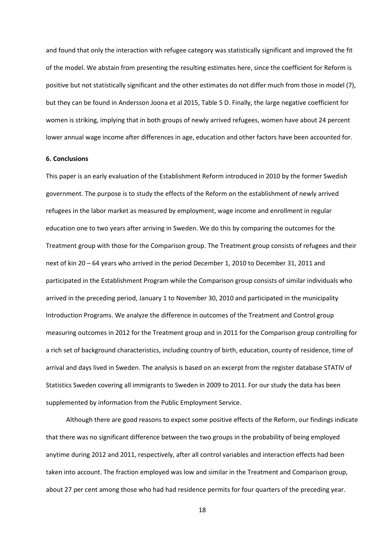and found that only the interaction with refugee category was statistically significant and improved the fit of the model. We abstain from presenting the resulting estimates here, since the coefficient for Reform is positive but not statistically significant and the other estimates do not differ much from those in model (7), but they can be found in Andersson Joona et al 2015, Table 5 D. Finally, the large negative coefficient for women is striking, implying that in both groups of newly arrived refugees, women have about 24 percent lower annual wage income after differences in age, education and other factors have been accounted for.

#### **6. Conclusions**

This paper is an early evaluation of the Establishment Reform introduced in 2010 by the former Swedish government. The purpose is to study the effects of the Reform on the establishment of newly arrived refugees in the labor market as measured by employment, wage income and enrollment in regular education one to two years after arriving in Sweden. We do this by comparing the outcomes for the Treatment group with those for the Comparison group. The Treatment group consists of refugees and their next of kin 20 – 64 years who arrived in the period December 1, 2010 to December 31, 2011 and participated in the Establishment Program while the Comparison group consists of similar individuals who arrived in the preceding period, January 1 to November 30, 2010 and participated in the municipality Introduction Programs. We analyze the difference in outcomes of the Treatment and Control group measuring outcomes in 2012 for the Treatment group and in 2011 for the Comparison group controlling for a rich set of background characteristics, including country of birth, education, county of residence, time of arrival and days lived in Sweden. The analysis is based on an excerpt from the register database STATIV of Statistics Sweden covering all immigrants to Sweden in 2009 to 2011. For our study the data has been supplemented by information from the Public Employment Service.

Although there are good reasons to expect some positive effects of the Reform, our findings indicate that there was no significant difference between the two groups in the probability of being employed anytime during 2012 and 2011, respectively, after all control variables and interaction effects had been taken into account. The fraction employed was low and similar in the Treatment and Comparison group, about 27 per cent among those who had had residence permits for four quarters of the preceding year.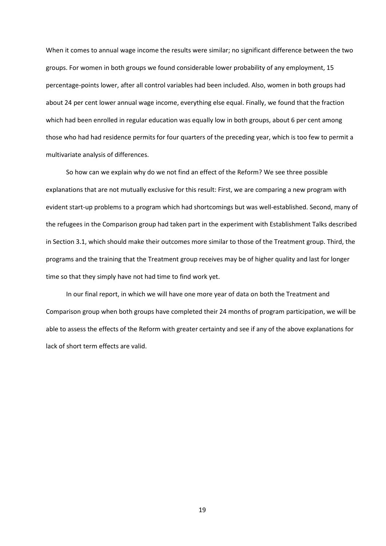When it comes to annual wage income the results were similar; no significant difference between the two groups. For women in both groups we found considerable lower probability of any employment, 15 percentage-points lower, after all control variables had been included. Also, women in both groups had about 24 per cent lower annual wage income, everything else equal. Finally, we found that the fraction which had been enrolled in regular education was equally low in both groups, about 6 per cent among those who had had residence permits for four quarters of the preceding year, which is too few to permit a multivariate analysis of differences.

So how can we explain why do we not find an effect of the Reform? We see three possible explanations that are not mutually exclusive for this result: First, we are comparing a new program with evident start-up problems to a program which had shortcomings but was well-established. Second, many of the refugees in the Comparison group had taken part in the experiment with Establishment Talks described in Section 3.1, which should make their outcomes more similar to those of the Treatment group. Third, the programs and the training that the Treatment group receives may be of higher quality and last for longer time so that they simply have not had time to find work yet.

In our final report, in which we will have one more year of data on both the Treatment and Comparison group when both groups have completed their 24 months of program participation, we will be able to assess the effects of the Reform with greater certainty and see if any of the above explanations for lack of short term effects are valid.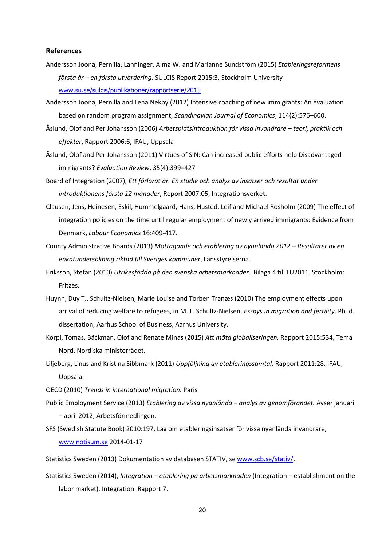#### **References**

- Andersson Joona, Pernilla, Lanninger, Alma W. and Marianne Sundström (2015) *Etableringsreformens första år – en första utvärdering.* SULCIS Report 2015:3, Stockholm University www.su.se/sulcis/publikationer/rapportserie/2015
- Andersson Joona, Pernilla and Lena Nekby (2012) Intensive coaching of new immigrants: An evaluation based on random program assignment, *Scandinavian Journal of Economics*, 114(2):576–600.
- Åslund, Olof and Per Johansson (2006) *Arbetsplatsintroduktion för vissa invandrare teori, praktik och effekter*, Rapport 2006:6, IFAU, Uppsala
- Åslund, Olof and Per Johansson (2011) Virtues of SIN: Can increased public efforts help Disadvantaged immigrants? *Evaluation Review*, 35(4):399–427

Board of Integration (2007), *Ett förlorat år. En studie och analys av insatser och resultat under introduktionens första 12 månader*, Report 2007:05, Integrationsverket.

- Clausen, Jens, Heinesen, Eskil, Hummelgaard, Hans, Husted, Leif and Michael Rosholm (2009) The effect of integration policies on the time until regular employment of newly arrived immigrants: Evidence from Denmark, *Labour Economics* 16:409-417.
- County Administrative Boards (2013) *Mottagande och etablering av nyanlända 2012 Resultatet av en enkätundersökning riktad till Sveriges kommuner*, Länsstyrelserna.

Eriksson, Stefan (2010) *Utrikesfödda på den svenska arbetsmarknaden.* Bilaga 4 till LU2011. Stockholm: Fritzes.

- Huynh, Duy T., Schultz-Nielsen, Marie Louise and Torben Tranæs (2010) The employment effects upon arrival of reducing welfare to refugees, in M. L. Schultz-Nielsen, *Essays in migration and fertility,* Ph. d. dissertation, Aarhus School of Business, Aarhus University.
- Korpi, Tomas, Bäckman, Olof and Renate Minas (2015) *Att möta globaliseringen.* Rapport 2015:534, Tema Nord, Nordiska ministerrådet.

Liljeberg, Linus and Kristina Sibbmark (2011) *Uppföljning av etableringssamtal*. Rapport 2011:28. IFAU, Uppsala.

- OECD (2010) *Trends in international migration.* Paris
- Public Employment Service (2013) *Etablering av vissa nyanlända analys av genomförandet.* Avser januari – april 2012, Arbetsförmedlingen.
- SFS (Swedish Statute Book) 2010:197, Lag om etableringsinsatser för vissa nyanlända invandrare, www.notisum.se 2014-01-17
- Statistics Sweden (2013) Dokumentation av databasen STATIV, se www.scb.se/stativ/.
- Statistics Sweden (2014), *Integration etablering på arbetsmarknaden* (Integration establishment on the labor market). Integration. Rapport 7.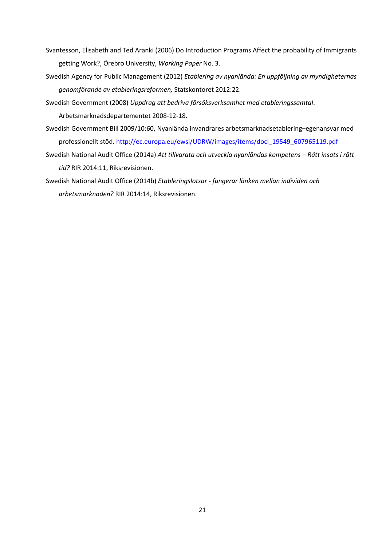- Svantesson, Elisabeth and Ted Aranki (2006) Do Introduction Programs Affect the probability of Immigrants getting Work?, Örebro University, *Working Paper* No. 3.
- Swedish Agency for Public Management (2012) *Etablering av nyanlända: En uppföljning av myndigheternas genomförande av etableringsreformen,* Statskontoret 2012:22.
- Swedish Government (2008) *Uppdrag att bedriva försöksverksamhet med etableringssamtal*. Arbetsmarknadsdepartementet 2008-12-18.
- Swedish Government Bill 2009/10:60, Nyanlända invandrares arbetsmarknadsetablering–egenansvar med professionellt stöd. http://ec.europa.eu/ewsi/UDRW/images/items/docl\_19549\_607965119.pdf
- Swedish National Audit Office (2014a) *Att tillvarata och utveckla nyanländas kompetens Rätt insats i rätt tid?* RIR 2014:11, Riksrevisionen.
- Swedish National Audit Office (2014b) *Etableringslotsar fungerar länken mellan individen och arbetsmarknaden?* RIR 2014:14, Riksrevisionen.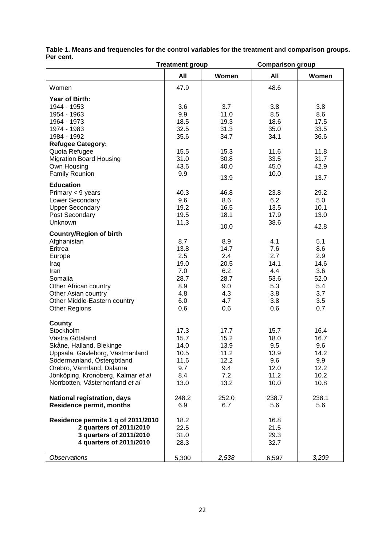|                                                                                                                                                                                                                                            | <b>Treatment group</b>                                                |                                                                               | <b>Comparison group</b>                                              |                                                                      |  |  |
|--------------------------------------------------------------------------------------------------------------------------------------------------------------------------------------------------------------------------------------------|-----------------------------------------------------------------------|-------------------------------------------------------------------------------|----------------------------------------------------------------------|----------------------------------------------------------------------|--|--|
|                                                                                                                                                                                                                                            | All                                                                   | Women                                                                         | All                                                                  | Women                                                                |  |  |
| Women                                                                                                                                                                                                                                      | 47.9                                                                  |                                                                               | 48.6                                                                 |                                                                      |  |  |
| Year of Birth:<br>1944 - 1953<br>1954 - 1963<br>1964 - 1973<br>1974 - 1983<br>1984 - 1992<br><b>Refugee Category:</b><br>Quota Refugee<br><b>Migration Board Housing</b>                                                                   | 3.6<br>9.9<br>18.5<br>32.5<br>35.6<br>15.5<br>31.0                    | 3.7<br>11.0<br>19.3<br>31.3<br>34.7<br>15.3<br>30.8                           | 3.8<br>8.5<br>18.6<br>35.0<br>34.1<br>11.6<br>33.5                   | 3.8<br>8.6<br>17.5<br>33.5<br>36.6<br>11.8<br>31.7                   |  |  |
| Own Housing<br><b>Family Reunion</b>                                                                                                                                                                                                       | 43.6<br>9.9                                                           | 40.0<br>13.9                                                                  | 45.0<br>10.0                                                         | 42.9<br>13.7                                                         |  |  |
| <b>Education</b><br>Primary < 9 years<br>Lower Secondary<br><b>Upper Secondary</b><br>Post Secondary<br>Unknown                                                                                                                            | 40.3<br>9.6<br>19.2<br>19.5<br>11.3                                   | 46.8<br>8.6<br>16.5<br>18.1                                                   | 23.8<br>6.2<br>13.5<br>17.9<br>38.6                                  | 29.2<br>5.0<br>10.1<br>13.0<br>42.8                                  |  |  |
| <b>Country/Region of birth</b><br>Afghanistan<br>Eritrea<br>Europe<br>Iraq<br>Iran<br>Somalia<br>Other African country<br>Other Asian country<br>Other Middle-Eastern country<br><b>Other Regions</b>                                      | 8.7<br>13.8<br>2.5<br>19.0<br>7.0<br>28.7<br>8.9<br>4.8<br>6.0<br>0.6 | 10.0<br>8.9<br>14.7<br>2.4<br>20.5<br>6.2<br>28.7<br>9.0<br>4.3<br>4.7<br>0.6 | 4.1<br>7.6<br>2.7<br>14.1<br>4.4<br>53.6<br>5.3<br>3.8<br>3.8<br>0.6 | 5.1<br>8.6<br>2.9<br>14.6<br>3.6<br>52.0<br>5.4<br>3.7<br>3.5<br>0.7 |  |  |
| County<br>Stockholm<br>Västra Götaland<br>Skåne, Halland, Blekinge<br>Uppsala, Gävleborg, Västmanland<br>Södermanland, Östergötland<br>Örebro, Värmland, Dalarna<br>Jönköping, Kronoberg, Kalmar et al<br>Norrbotten, Västernorrland et al | 17.3<br>15.7<br>14.0<br>10.5<br>11.6<br>9.7<br>8.4<br>13.0            | 17.7<br>15.2<br>13.9<br>11.2<br>12.2<br>9.4<br>7.2<br>13.2                    | 15.7<br>18.0<br>9.5<br>13.9<br>9.6<br>12.0<br>11.2<br>10.0           | 16.4<br>16.7<br>9.6<br>14.2<br>9.9<br>12.2<br>10.2<br>10.8           |  |  |
| <b>National registration, days</b><br><b>Residence permit, months</b>                                                                                                                                                                      | 248.2<br>6.9                                                          | 252.0<br>6.7                                                                  | 238.7<br>5.6                                                         | 238.1<br>5.6                                                         |  |  |
| Residence permits 1 q of 2011/2010<br>2 quarters of 2011/2010<br>3 quarters of 2011/2010<br>4 quarters of 2011/2010                                                                                                                        | 18.2<br>22.5<br>31.0<br>28.3                                          |                                                                               | 16.8<br>21.5<br>29.3<br>32.7                                         |                                                                      |  |  |
| <b>Observations</b>                                                                                                                                                                                                                        | 5,300                                                                 | 2,538                                                                         | 6,597                                                                | 3,209                                                                |  |  |

**Table 1. Means and frequencies for the control variables for the treatment and comparison groups. Per cent.**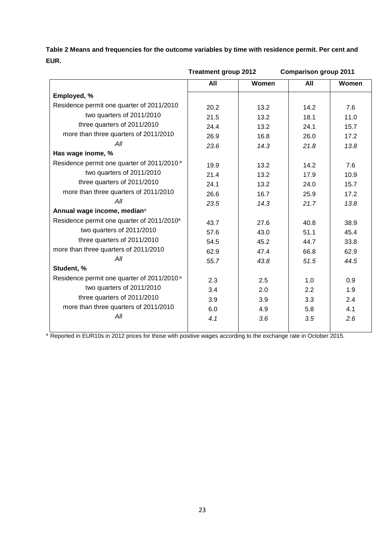**Table 2 Means and frequencies for the outcome variables by time with residence permit. Per cent and EUR.** 

|                                                        | <b>Treatment group 2012</b> |       | <b>Comparison group 2011</b> |       |  |
|--------------------------------------------------------|-----------------------------|-------|------------------------------|-------|--|
|                                                        | All                         | Women | All                          | Women |  |
| Employed, %                                            |                             |       |                              |       |  |
| Residence permit one quarter of 2011/2010              | 20.2                        | 13.2  | 14.2                         | 7.6   |  |
| two quarters of 2011/2010                              | 21.5                        | 13.2  | 18.1                         | 11.0  |  |
| three quarters of 2011/2010                            | 24.4                        | 13.2  | 24.1                         | 15.7  |  |
| more than three quarters of 2011/2010                  | 26.9                        | 16.8  | 26.0                         | 17.2  |  |
| All                                                    | 23.6                        | 14.3  | 21.8                         | 13.8  |  |
| Has wage inome, %                                      |                             |       |                              |       |  |
| Residence permit one quarter of 2011/2010 <sup>a</sup> | 19.9                        | 13.2  | 14.2                         | 7.6   |  |
| two quarters of 2011/2010                              | 21.4                        | 13.2  | 17.9                         | 10.9  |  |
| three quarters of 2011/2010                            | 24.1                        | 13.2  | 24.0                         | 15.7  |  |
| more than three quarters of 2011/2010                  | 26.6                        | 16.7  | 25.9                         | 17.2  |  |
| All                                                    | 23.5                        | 14.3  | 21.7                         | 13.8  |  |
| Annual wage income, median <sup>a</sup>                |                             |       |                              |       |  |
| Residence permit one quarter of 2011/2010 <sup>a</sup> | 43.7                        | 27.6  | 40.8                         | 38.9  |  |
| two quarters of 2011/2010                              | 57.6                        | 43.0  | 51.1                         | 45.4  |  |
| three quarters of 2011/2010                            | 54.5                        | 45.2  | 44.7                         | 33.8  |  |
| more than three quarters of 2011/2010                  | 62.9                        | 47.4  | 66.8                         | 62.9  |  |
| All                                                    | 55.7                        | 43.8  | 51.5                         | 44.5  |  |
| Student, %                                             |                             |       |                              |       |  |
| Residence permit one quarter of 2011/2010 <sup>a</sup> | 2.3                         | 2.5   | 1.0                          | 0.9   |  |
| two quarters of 2011/2010                              | 3.4                         | 2.0   | 2.2                          | 1.9   |  |
| three quarters of 2011/2010                            | 3.9                         | 3.9   | 3.3                          | 2.4   |  |
| more than three quarters of 2011/2010                  | 6.0                         | 4.9   | 5.8                          | 4.1   |  |
| All                                                    | 4.1                         | 3.6   | 3.5                          | 2.6   |  |
|                                                        |                             |       |                              |       |  |

<sup>a</sup> Reported in EUR10s in 2012 prices for those with positive wages according to the exchange rate in October 2015.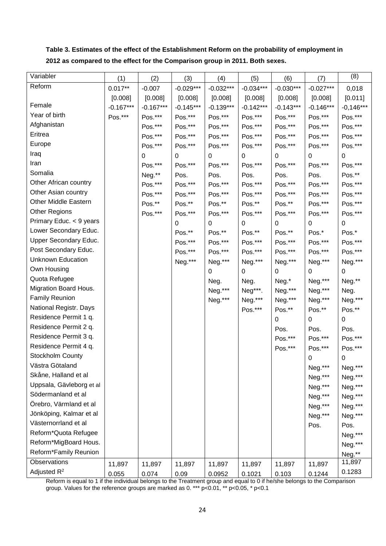**Table 3. Estimates of the effect of the Establishment Reform on the probability of employment in 2012 as compared to the effect for the Comparison group in 2011. Both sexes.** 

| Variabler                | (1)         | (2)         | (3)              | (4)         | (5)         | (6)         | (7)         | (8)         |
|--------------------------|-------------|-------------|------------------|-------------|-------------|-------------|-------------|-------------|
| Reform                   | $0.017**$   | $-0.007$    | $-0.029***$      | $-0.032***$ | $-0.034***$ | $-0.030***$ | $-0.027***$ | 0,018       |
|                          | [0.008]     | [0.008]     | [0.008]          | [0.008]     | [0.008]     | [0.008]     | [0.008]     | [0.011]     |
| Female                   | $-0.167***$ | $-0.167***$ | $-0.145***$      | $-0.139***$ | $-0.142***$ | $-0.143***$ | $-0.146***$ | $-0,146***$ |
| Year of birth            | Pos.***     | Pos.***     | Pos.***          | Pos.***     | Pos.***     | Pos.***     | Pos.***     | Pos.***     |
| Afghanistan              |             | Pos.***     | Pos.***          | Pos.***     | Pos.***     | Pos.***     | Pos.***     | Pos.***     |
| Eritrea                  |             | Pos.***     | Pos.***          | Pos.***     | Pos.***     | Pos.***     | Pos.***     | Pos.***     |
| Europe                   |             | Pos.***     | Pos.***          | Pos.***     | Pos.***     | Pos.***     | Pos.***     | Pos.***     |
| Iraq                     |             | 0           | $\boldsymbol{0}$ | 0           | 0           | 0           | 0           | 0           |
| Iran                     |             | Pos.***     | Pos.***          | Pos.***     | Pos.***     | Pos.***     | Pos.***     | Pos.***     |
| Somalia                  |             | Neg.**      | Pos.             | Pos.        | Pos.        | Pos.        | Pos.        | Pos.**      |
| Other African country    |             | Pos.***     | Pos.***          | Pos.***     | Pos.***     | Pos.***     | Pos.***     | Pos.***     |
| Other Asian country      |             | Pos.***     | Pos.***          | Pos.***     | Pos.***     | Pos.***     | Pos.***     | Pos.***     |
| Other Middle Eastern     |             | Pos.**      | Pos.**           | Pos.**      | Pos.**      | Pos.**      | Pos.***     | Pos.***     |
| <b>Other Regions</b>     |             | Pos.***     | Pos.***          | Pos.***     | Pos.***     | Pos.***     | Pos.***     | Pos.***     |
| Primary Educ. < 9 years  |             |             | 0                | 0           | 0           | 0           | 0           | 0           |
| Lower Secondary Educ.    |             |             | Pos.**           | Pos.**      | Pos.**      | Pos.**      | Pos.*       | Pos.*       |
| Upper Secondary Educ.    |             |             | Pos.***          | Pos.***     | Pos.***     | Pos.***     | Pos.***     | Pos.***     |
| Post Secondary Educ.     |             |             | Pos.***          | Pos.***     | Pos.***     | Pos.***     | Pos.***     | Pos.***     |
| <b>Unknown Education</b> |             |             | Neg.***          | Neg.***     | Neg.***     | Neg.***     | Neg.***     | Neg.***     |
| Own Housing              |             |             |                  | 0           | 0           | 0           | 0           | 0           |
| Quota Refugee            |             |             |                  | Neg.        | Neg.        | Neg.*       | Neg.***     | Neg.**      |
| Migration Board Hous.    |             |             |                  | Neg.***     | Neg***.     | Neg.***     | Neg.***     | Neg.        |
| <b>Family Reunion</b>    |             |             |                  | Neg.***     | Neg.***     | Neg.***     | Neg.***     | Neg.***     |
| National Registr. Days   |             |             |                  |             | Pos.***     | Pos.**      | Pos.**      | Pos.**      |
| Residence Permit 1 q.    |             |             |                  |             |             | 0           | 0           | 0           |
| Residence Permit 2 q.    |             |             |                  |             |             | Pos.        | Pos.        | Pos.        |
| Residence Permit 3 q.    |             |             |                  |             |             | Pos.***     | Pos.***     | Pos.***     |
| Residence Permit 4 q.    |             |             |                  |             |             | Pos.***     | Pos.***     | Pos.***     |
| Stockholm County         |             |             |                  |             |             |             | 0           | 0           |
| Västra Götaland          |             |             |                  |             |             |             | Neg.***     | Neg.***     |
| Skåne, Halland et al     |             |             |                  |             |             |             | Neg.***     | Neg.***     |
| Uppsala, Gävleborg et al |             |             |                  |             |             |             | Neg.***     | Neg.***     |
| Södermanland et al       |             |             |                  |             |             |             | Neg.***     | Neg.***     |
| Örebro, Värmland et al   |             |             |                  |             |             |             | Neg.***     | Neg.***     |
| Jönköping, Kalmar et al  |             |             |                  |             |             |             | Neg.***     | Neg.***     |
| Västernorrland et al     |             |             |                  |             |             |             | Pos.        | Pos.        |
| Reform*Quota Refugee     |             |             |                  |             |             |             |             | Neg.***     |
| Reform*MigBoard Hous.    |             |             |                  |             |             |             |             | Neg.***     |
| Reform*Family Reunion    |             |             |                  |             |             |             |             | Neg.**      |
| Observations             | 11,897      | 11,897      | 11,897           | 11,897      | 11,897      | 11,897      | 11,897      | 11,897      |
| Adjusted R <sup>2</sup>  | 0.055       | 0.074       | 0.09             | 0.0952      | 0.1021      | 0.103       | 0.1244      | 0.1283      |

Reform is equal to 1 if the individual belongs to the Treatment group and equal to 0 if he/she belongs to the Comparison group. Values for the reference groups are marked as 0. \*\*\* p<0.01, \*\* p<0.05, \* p<0.1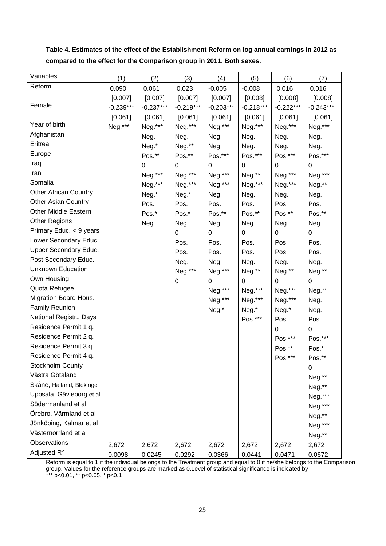**Table 4. Estimates of the effect of the Establishment Reform on log annual earnings in 2012 as compared to the effect for the Comparison group in 2011. Both sexes.** 

| Variables                    | (1)         | (2)         | (3)              | (4)         | (5)         | (6)         | (7)         |
|------------------------------|-------------|-------------|------------------|-------------|-------------|-------------|-------------|
| Reform                       | 0.090       | 0.061       | 0.023            | $-0.005$    | $-0.008$    | 0.016       | 0.016       |
|                              | [0.007]     | [0.007]     | [0.007]          | [0.007]     | [0.008]     | [0.008]     | [0.008]     |
| Female                       | $-0.239***$ | $-0.237***$ | $-0.219***$      | $-0.203***$ | $-0.218***$ | $-0.222***$ | $-0.243***$ |
|                              | [0.061]     | [0.061]     | [0.061]          | [0.061]     | [0.061]     | [0.061]     | [0.061]     |
| Year of birth                | Neg.***     | Neg.***     | Neg.***          | Neg.***     | Neg.***     | Neg.***     | Neg.***     |
| Afghanistan                  |             | Neg.        | Neg.             | Neg.        | Neg.        | Neg.        | Neg.        |
| Eritrea                      |             | Neg.*       | Neg.**           | Neg.        | Neg.        | Neg.        | Neg.        |
| Europe                       |             | Pos.**      | Pos.**           | Pos.***     | Pos.***     | Pos.***     | Pos.***     |
| Iraq                         |             | $\mathbf 0$ | 0                | 0           | 0           | 0           | 0           |
| Iran                         |             | Neg.***     | Neg.***          | Neg.***     | Neg.**      | Neg.***     | Neg.***     |
| Somalia                      |             | Neg.***     | Neg.***          | Neg.***     | Neg.***     | Neg.***     | Neg.**      |
| <b>Other African Country</b> |             | Neg.*       | Neg.*            | Neg.        | Neg.        | Neg.        | Neg.        |
| <b>Other Asian Country</b>   |             | Pos.        | Pos.             | Pos.        | Pos.        | Pos.        | Pos.        |
| <b>Other Middle Eastern</b>  |             | Pos.*       | Pos.*            | Pos.**      | Pos.**      | Pos.**      | Pos.**      |
| <b>Other Regions</b>         |             | Neg.        | Neg.             | Neg.        | Neg.        | Neg.        | Neg.        |
| Primary Educ. < 9 years      |             |             | 0                | 0           | 0           | 0           | 0           |
| Lower Secondary Educ.        |             |             | Pos.             | Pos.        | Pos.        | Pos.        | Pos.        |
| <b>Upper Secondary Educ.</b> |             |             | Pos.             | Pos.        | Pos.        | Pos.        | Pos.        |
| Post Secondary Educ.         |             |             | Neg.             | Neg.        | Neg.        | Neg.        | Neg.        |
| <b>Unknown Education</b>     |             |             | Neg.***          | Neg.***     | Neg.**      | Neg.**      | Neg.**      |
| Own Housing                  |             |             | $\boldsymbol{0}$ | 0           | 0           | 0           | 0           |
| Quota Refugee                |             |             |                  | Neg.***     | Neg.***     | Neg.***     | Neg.**      |
| Migration Board Hous.        |             |             |                  | Neg.***     | Neg.***     | Neg.***     | Neg.        |
| <b>Family Reunion</b>        |             |             |                  | Neg.*       | Neg.*       | Neg.*       | Neg.        |
| National Registr., Days      |             |             |                  |             | Pos.***     | Pos.        | Pos.        |
| Residence Permit 1 q.        |             |             |                  |             |             | 0           | 0           |
| Residence Permit 2 q.        |             |             |                  |             |             | Pos.***     | Pos.***     |
| Residence Permit 3 q.        |             |             |                  |             |             | Pos.**      | Pos.*       |
| Residence Permit 4 q.        |             |             |                  |             |             | Pos.***     | Pos.**      |
| Stockholm County             |             |             |                  |             |             |             | 0           |
| Västra Götaland              |             |             |                  |             |             |             | Neg.**      |
| Skåne, Halland, Blekinge     |             |             |                  |             |             |             | Neg.**      |
| Uppsala, Gävleborg et al     |             |             |                  |             |             |             | Neg.***     |
| Södermanland et al           |             |             |                  |             |             |             | Neg.***     |
| Örebro, Värmland et al       |             |             |                  |             |             |             | Neg.**      |
| Jönköping, Kalmar et al      |             |             |                  |             |             |             | Neg.***     |
| Västernorrland et al         |             |             |                  |             |             |             | Neg.**      |
| Observations                 | 2,672       | 2,672       | 2,672            | 2,672       | 2,672       | 2,672       | 2,672       |
| Adjusted R <sup>2</sup>      | 0.0098      | 0.0245      | 0.0292           | 0.0366      | 0.0441      | 0.0471      | 0.0672      |

Reform is equal to 1 if the individual belongs to the Treatment group and equal to 0 if he/she belongs to the Comparison group. Values for the reference groups are marked as 0.Level of statistical significance is indicated by \*\*\* p<0.01, \*\* p<0.05, \* p<0.1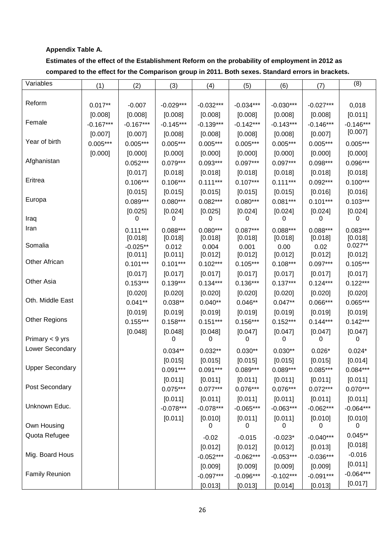### **Appendix Table A.**

## **Estimates of the effect of the Establishment Reform on the probability of employment in 2012 as compared to the effect for the Comparison group in 2011. Both sexes. Standard errors in brackets.**

| Variables              | (1)         | (2)                   | (3)              | (4)              | (5)              | (6)             | (7)             | (8)                  |
|------------------------|-------------|-----------------------|------------------|------------------|------------------|-----------------|-----------------|----------------------|
|                        |             |                       |                  |                  |                  |                 |                 |                      |
| Reform                 | $0.017**$   | $-0.007$              | $-0.029***$      | $-0.032***$      | $-0.034***$      | $-0.030***$     | $-0.027***$     | 0,018                |
|                        | [0.008]     | [0.008]               | [0.008]          | [0.008]          | $[0.008]$        | [0.008]         | [0.008]         | [0.011]              |
| Female                 | $-0.167***$ | $-0.167***$           | $-0.145***$      | $-0.139***$      | $-0.142***$      | $-0.143***$     | $-0.146***$     | $-0.146***$          |
|                        | [0.007]     | [0.007]               | [0.008]          | [0.008]          | [0.008]          | [0.008]         | [0.007]         | [0.007]              |
| Year of birth          | $0.005***$  | $0.005***$            | $0.005***$       | $0.005***$       | $0.005***$       | $0.005***$      | $0.005***$      | $0.005***$           |
|                        | [0.000]     | [0.000]               | [0.000]          | [0.000]          | [0.000]          | [0.000]         | [0.000]         | [0.000]              |
| Afghanistan            |             | $0.052***$            | $0.079***$       | $0.093***$       | $0.097***$       | $0.097***$      | $0.098***$      | $0.096***$           |
|                        |             | [0.017]               | [0.018]          | [0.018]          | [0.018]          | [0.018]         | [0.018]         | [0.018]              |
| Eritrea                |             | $0.106***$            | $0.106***$       | $0.111***$       | $0.107***$       | $0.111***$      | $0.092***$      | $0.100***$           |
|                        |             | [0.015]               | [0.015]          | [0.015]          | [0.015]          | [0.015]         | [0.016]         | [0.016]              |
| Europa                 |             | $0.089***$            | $0.080***$       | $0.082***$       | $0.080***$       | $0.081***$      | $0.101***$      | $0.103***$           |
|                        |             | [0.025]               | [0.024]          | [0.025]          | [0.024]          | [0.024]         | [0.024]         | [0.024]              |
| Iraq                   |             | 0                     | 0                | 0                | 0                | 0               | 0               | 0                    |
| Iran                   |             | $0.111***$            | $0.088***$       | $0.080***$       | $0.087***$       | $0.088***$      | $0.088***$      | $0.083***$           |
| Somalia                |             | [0.018]               | [0.018]<br>0.012 | [0.018]<br>0.004 | [0.018]<br>0.001 | [0.018]<br>0.00 | [0.018]<br>0.02 | [0.018]<br>$0.027**$ |
|                        |             | $-0.025**$<br>[0.011] | [0.011]          | [0.012]          | [0.012]          | [0.012]         | [0.012]         | [0.012]              |
| Other African          |             | $0.101***$            | $0.101***$       | $0.102***$       | $0.105***$       | $0.108***$      | $0.097***$      | $0.105***$           |
|                        |             | [0.017]               | [0.017]          | [0.017]          | [0.017]          | [0.017]         | [0.017]         | [0.017]              |
| Other Asia             |             | $0.153***$            | $0.139***$       | $0.134***$       | $0.136***$       | $0.137***$      | $0.124***$      | $0.122***$           |
|                        |             | [0.020]               | [0.020]          | [0.020]          | [0.020]          | [0.020]         | [0.020]         | [0.020]              |
| Oth. Middle East       |             | $0.041**$             | $0.038**$        | $0.040**$        | $0.046**$        | $0.047**$       | $0.066***$      | $0.065***$           |
|                        |             | [0.019]               | [0.019]          | [0.019]          | [0.019]          | [0.019]         | [0.019]         | [0.019]              |
| <b>Other Regions</b>   |             | $0.155***$            | $0.158***$       | $0.151***$       | $0.156***$       | $0.152***$      | $0.144***$      | $0.142***$           |
|                        |             | [0.048]               | [0.048]          | [0.048]          | [0.047]          | [0.047]         | [0.047]         | [0.047]              |
| Primary < 9 yrs        |             |                       | 0                | 0                | 0                | 0               | 0               | 0                    |
| Lower Secondary        |             |                       | $0.034**$        | $0.032**$        | $0.030**$        | $0.030**$       | $0.026*$        | $0.024*$             |
|                        |             |                       | [0.015]          | [0.015]          | [0.015]          | [0.015]         | [0.015]         | [0.014]              |
| <b>Upper Secondary</b> |             |                       | $0.091***$       | $0.091***$       | $0.089***$       | $0.089***$      | $0.085***$      | $0.084***$           |
|                        |             |                       | [0.011]          | [0.011]          | [0.011]          | [0.011]         | [0.011]         | [0.011]              |
| Post Secondary         |             |                       | $0.075***$       | $0.077***$       | $0.076***$       | $0.076***$      | $0.072***$      | $0.070***$           |
|                        |             |                       | [0.011]          | [0.011]          | [0.011]          | [0.011]         | [0.011]         | [0.011]              |
| Unknown Educ.          |             |                       | $-0.078***$      | $-0.078***$      | $-0.065***$      | $-0.063***$     | $-0.062***$     | $-0.064***$          |
|                        |             |                       | [0.011]          | [0.010]          | [0.011]          | [0.011]         | [0.010]         | [0.010]              |
| Own Housing            |             |                       |                  | 0                | 0                | 0               | 0               | 0                    |
| Quota Refugee          |             |                       |                  | $-0.02$          | $-0.015$         | $-0.023*$       | $-0.040***$     | $0.045**$            |
|                        |             |                       |                  | [0.012]          | [0.012]          | [0.012]         | [0.013]         | [0.018]              |
| Mig. Board Hous        |             |                       |                  | $-0.052***$      | $-0.062***$      | $-0.053***$     | $-0.036***$     | $-0.016$             |
|                        |             |                       |                  | [0.009]          | [0.009]          | [0.009]         | [0.009]         | [0.011]              |
| <b>Family Reunion</b>  |             |                       |                  | $-0.097***$      | $-0.096***$      | $-0.102***$     | $-0.091***$     | $-0.064***$          |
|                        |             |                       |                  | [0.013]          | [0.013]          | [0.014]         | [0.013]         | [0.017]              |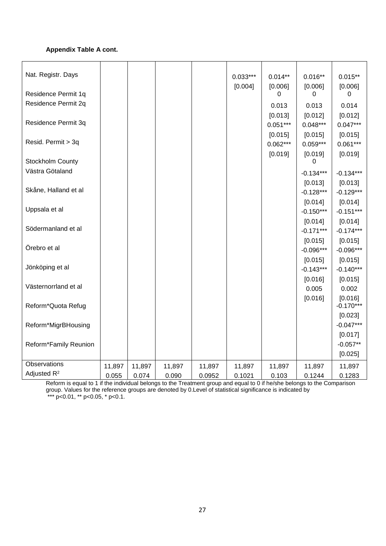### **Appendix Table A cont.**

| Nat. Registr. Days    |        |        |        |        | $0.033***$<br>[0.004] | $0.014**$<br>[0.006] | $0.016**$<br>[0.006] | $0.015**$<br>[0.006]   |
|-----------------------|--------|--------|--------|--------|-----------------------|----------------------|----------------------|------------------------|
| Residence Permit 1q   |        |        |        |        |                       | 0                    | 0                    | 0                      |
| Residence Permit 2q   |        |        |        |        |                       | 0.013                | 0.013                | 0.014                  |
|                       |        |        |        |        |                       | [0.013]              | [0.012]              | [0.012]                |
| Residence Permit 3q   |        |        |        |        |                       | $0.051***$           | $0.048***$           | $0.047***$             |
|                       |        |        |        |        |                       | [0.015]              | [0.015]              | [0.015]                |
| Resid. Permit > 3q    |        |        |        |        |                       | $0.062***$           | $0.059***$           | $0.061***$             |
|                       |        |        |        |        |                       | [0.019]              | [0.019]              | [0.019]                |
| Stockholm County      |        |        |        |        |                       |                      | 0                    |                        |
| Västra Götaland       |        |        |        |        |                       |                      | $-0.134***$          | $-0.134***$            |
|                       |        |        |        |        |                       |                      | [0.013]              | [0.013]                |
| Skåne, Halland et al  |        |        |        |        |                       |                      | $-0.128***$          | $-0.129***$            |
|                       |        |        |        |        |                       |                      | [0.014]              | [0.014]                |
| Uppsala et al         |        |        |        |        |                       |                      | $-0.150***$          | $-0.151***$            |
|                       |        |        |        |        |                       |                      | [0.014]              | [0.014]                |
| Södermanland et al    |        |        |        |        |                       |                      | $-0.171***$          | $-0.174***$            |
|                       |        |        |        |        |                       |                      | [0.015]              | [0.015]                |
| Örebro et al          |        |        |        |        |                       |                      | $-0.096***$          | $-0.096***$            |
|                       |        |        |        |        |                       |                      | [0.015]              | [0.015]                |
| Jönköping et al       |        |        |        |        |                       |                      | $-0.143***$          | $-0.140***$            |
| Västernorrland et al  |        |        |        |        |                       |                      | [0.016]              | [0.015]                |
|                       |        |        |        |        |                       |                      | 0.005                | 0.002                  |
| Reform*Quota Refug    |        |        |        |        |                       |                      | [0.016]              | [0.016]<br>$-0.170***$ |
|                       |        |        |        |        |                       |                      |                      | [0.023]                |
| Reform*MigrBHousing   |        |        |        |        |                       |                      |                      | $-0.047***$            |
|                       |        |        |        |        |                       |                      |                      | [0.017]                |
| Reform*Family Reunion |        |        |        |        |                       |                      |                      | $-0.057**$             |
|                       |        |        |        |        |                       |                      |                      | [0.025]                |
| Observations          | 11,897 | 11,897 | 11,897 | 11,897 | 11,897                | 11,897               | 11,897               | 11,897                 |
| Adjusted $R^2$        | 0.055  | 0.074  | 0.090  | 0.0952 | 0.1021                | 0.103                | 0.1244               | 0.1283                 |

Reform is equal to 1 if the individual belongs to the Treatment group and equal to 0 if he/she belongs to the Comparison group. Values for the reference groups are denoted by 0.Level of statistical significance is indicated by \*\*\* p<0.01, \*\* p<0.05, \* p<0.1.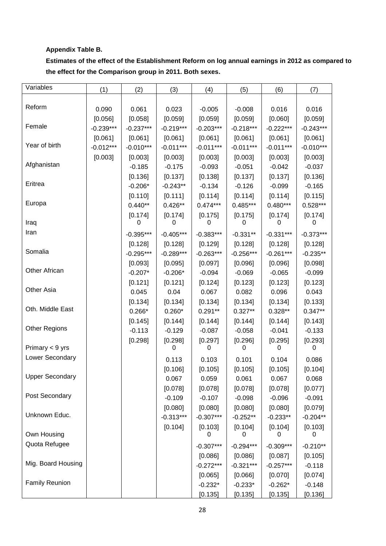### **Appendix Table B.**

**Estimates of the effect of the Establishment Reform on log annual earnings in 2012 as compared to the effect for the Comparison group in 2011. Both sexes.** 

| Variables              | (1)         | (2)         | (3)         | (4)         | (5)         | (6)         | (7)         |
|------------------------|-------------|-------------|-------------|-------------|-------------|-------------|-------------|
|                        |             |             |             |             |             |             |             |
| Reform                 | 0.090       | 0.061       | 0.023       | $-0.005$    | $-0.008$    | 0.016       | 0.016       |
|                        | [0.056]     | [0.058]     | [0.059]     | [0.059]     | [0.059]     | [0.060]     | [0.059]     |
| Female                 | $-0.239***$ | $-0.237***$ | $-0.219***$ | $-0.203***$ | $-0.218***$ | $-0.222***$ | $-0.243***$ |
|                        | [0.061]     | [0.061]     | [0.061]     | [0.061]     | [0.061]     | [0.061]     | [0.061]     |
| Year of birth          | $-0.012***$ | $-0.010***$ | $-0.011***$ | $-0.011***$ | $-0.011***$ | $-0.011***$ | $-0.010***$ |
|                        | [0.003]     | [0.003]     | [0.003]     | [0.003]     | [0.003]     | [0.003]     | [0.003]     |
| Afghanistan            |             | $-0.185$    | $-0.175$    | $-0.093$    | $-0.051$    | $-0.042$    | $-0.037$    |
|                        |             | [0.136]     | [0.137]     | [0.138]     | [0.137]     | [0.137]     | [0.136]     |
| Eritrea                |             | $-0.206*$   | $-0.243**$  | $-0.134$    | $-0.126$    | $-0.099$    | $-0.165$    |
|                        |             | [0.110]     | [0.111]     | [0.114]     | [0.114]     | [0.114]     | [0.115]     |
| Europa                 |             | $0.440**$   | $0.426**$   | $0.474***$  | $0.485***$  | $0.480***$  | $0.528***$  |
|                        |             | [0.174]     | [0.174]     | [0.175]     | [0.175]     | [0.174]     | [0.174]     |
| Iraq                   |             | 0           | O           | 0           | 0           | O           | 0           |
| Iran                   |             | $-0.395***$ | $-0.405***$ | $-0.383***$ | $-0.331**$  | $-0.331***$ | $-0.373***$ |
|                        |             | [0.128]     | [0.128]     | [0.129]     | [0.128]     | [0.128]     | [0.128]     |
| Somalia                |             | $-0.295***$ | $-0.289***$ | $-0.263***$ | $-0.256***$ | $-0.261***$ | $-0.235**$  |
|                        |             | [0.093]     | [0.095]     | [0.097]     | [0.096]     | [0.096]     | [0.098]     |
| <b>Other African</b>   |             | $-0.207*$   | $-0.206*$   | $-0.094$    | $-0.069$    | $-0.065$    | $-0.099$    |
|                        |             | [0.121]     | [0.121]     | [0.124]     | [0.123]     | [0.123]     | [0.123]     |
| Other Asia             |             | 0.045       | 0.04        | 0.067       | 0.082       | 0.096       | 0.043       |
|                        |             | [0.134]     | [0.134]     | [0.134]     | [0.134]     | [0.134]     | [0.133]     |
| Oth. Middle East       |             | $0.266*$    | $0.260*$    | $0.291**$   | $0.327**$   | 0.328**     | $0.347**$   |
|                        |             | [0.145]     | [0.144]     | [0.144]     | [0.144]     | [0.144]     | [0.143]     |
| <b>Other Regions</b>   |             | $-0.113$    | $-0.129$    | $-0.087$    | $-0.058$    | $-0.041$    | $-0.133$    |
|                        |             | [0.298]     | [0.298]     | [0.297]     | [0.296]     | [0.295]     | [0.293]     |
| Primary < 9 yrs        |             |             | 0           | 0           | 0           | 0           | 0           |
| Lower Secondary        |             |             | 0.113       | 0.103       | 0.101       | 0.104       | 0.086       |
|                        |             |             | [0.106]     | [0.105]     | [0.105]     | [0.105]     | [0.104]     |
| <b>Upper Secondary</b> |             |             | 0.067       | 0.059       | 0.061       | 0.067       | 0.068       |
|                        |             |             | [0.078]     | [0.078]     | [0.078]     | [0.078]     | [0.077]     |
| Post Secondary         |             |             | $-0.109$    | $-0.107$    | $-0.098$    | $-0.096$    | $-0.091$    |
|                        |             |             | [0.080]     | [0.080]     | [0.080]     | [0.080]     | [0.079]     |
| Unknown Educ.          |             |             | $-0.313***$ | $-0.307***$ | $-0.252**$  | $-0.233**$  | $-0.204**$  |
|                        |             |             | [0.104]     | [0.103]     | [0.104]     | [0.104]     | [0.103]     |
| Own Housing            |             |             |             | 0           | 0           | 0           | 0           |
| Quota Refugee          |             |             |             | $-0.307***$ | $-0.294***$ | $-0.309***$ | $-0.210**$  |
|                        |             |             |             | [0.086]     | [0.086]     | [0.087]     | [0.105]     |
| Mig. Board Housing     |             |             |             | $-0.272***$ | $-0.321***$ | $-0.257***$ | $-0.118$    |
|                        |             |             |             | [0.065]     | [0.066]     | [0.070]     | [0.074]     |
| <b>Family Reunion</b>  |             |             |             | $-0.232*$   | $-0.233*$   | $-0.262*$   | $-0.148$    |
|                        |             |             |             | [0.135]     | [0.135]     | [0.135]     | [0.136]     |